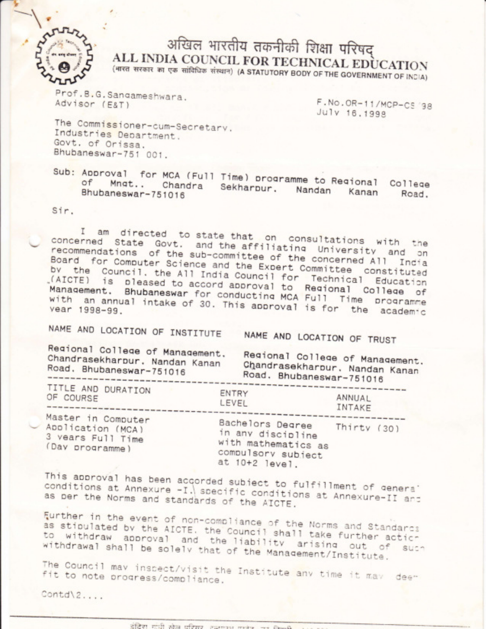

## अखिल भारतीय तकनीकी शिक्षा परिषद ALL INDIA COUNCIL FOR TECHNICAL EDUCATION

(भारत सरकार का एक सांविधिक संस्थान) (A STATUTORY BODY OF THE GOVERNMENT OF INDIA)

Prof.B.G.Sangameshwara. Advisor (E&T)

F.No.OR-11/MCP-CS '98 July 16.1998

The Commissioner-cum-Secretary. Industries Department. Govt. of Orissa. Bhubaneswar-751 001.

Sub: Approval for MCA (Full Time) programme to Regional College Chandra Sekharpur, Nandan Bhubaneswar-751016 Kanan Road.

Sir.

am directed to state that on consultations with the  $\mathbb{I}$ concerned State Govt. and the affiliating University and on recommendations of the sub-committee of the concerned All India Board for Computer Science and the Expert Committee constituted by the Council, the All India Council for Technical Education (AICTE) is pleased to accord approval to Regional College of Management. Bhubaneswar for conducting MCA Full Time programme with an annual intake of 30. This approval is for the academic

NAME AND LOCATION OF INSTITUTE

NAME AND LOCATION OF TRUST

Regional College of Management. Chandrasekharpur. Nandan Kanan Road. Bhubaneswar-751016

Regional College of Management. Chandrasekharour, Nandan Kanan Road. Bhubaneswar-751016

| TITLE AND DURATION                                                              | ENTRY                                                                                                            | ANNUAL |
|---------------------------------------------------------------------------------|------------------------------------------------------------------------------------------------------------------|--------|
| OF COURSE                                                                       | LEVEL                                                                                                            | INTAKE |
| Master in Computer<br>Application (MCA)<br>3 vears Full Time<br>(Day programme) | Bachelors Degree Thirty (30)<br>in any discipline<br>with mathematics as<br>compulsory subject<br>at 10+2 level. |        |

This approval has been accorded subject to fulfillment of genera' conditions at Annexure -I. specific conditions at Annexure-II and as per the Norms and standards of the AICTE.

Further in the event of non-compliance of the Norms and Standards as stipulated by the AICTE. the Council shall take further acticto withdraw approval and the liability arising out of such withdrawal shall be solely that of the Management/Institute.

The Council may inspect/visit the Institute any time it may deefit to note progress/compliance.

Contd\2....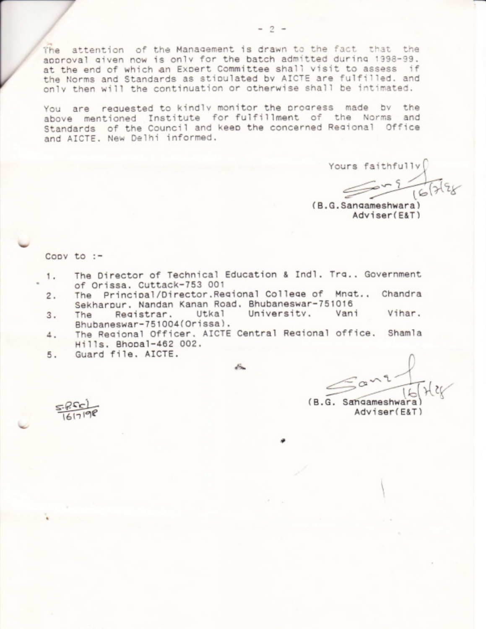The attention of the Management is drawn to the fact that the approval given now is only for the batch admitted during 1998-99. at the end of which an Expert Committee shall visit to assess if the Norms and Standards as stipulated by AICTE are fulfilled. and only then will the continuation or otherwise shall be intimated.

You are requested to kindly monitor the progress made by the above mentioned Institute for fulfillment of the Norms and Standards of the Council and keep the concerned Regional Office and AICTE. New Delhi informed.

Yours faithfully

(B.G.Sangameshwara) Adviser(E&T)

Copy to  $:=$ 

- The Director of Technical Education & Indl. Tra.. Government 1. of Orissa. Cuttack-753 001
- The Principal/Director.Regional College of Mngt., Chandra  $2.$ Sekharpur, Nandan Kanan Road, Bhubaneswar-751016
- University, Vani Vihar. Registrar, Utkal 3. The Bhubaneswar-751004(Orissa).
- The Regional Officer. AICTE Central Regional office. Shamla 4. Hills. Bhopal-462 002.
- Guard file, AICTE. 5.

 $\frac{a^2}{16}$  Here (B.G. Sangameshwara

Adviser(E&T)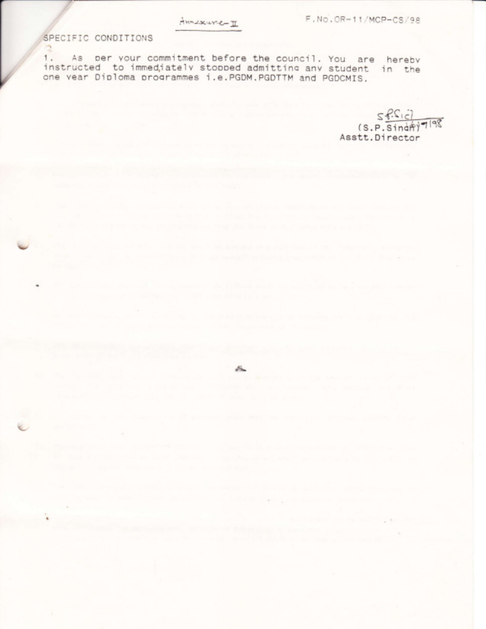and the control of the second control of the con-

## SPECIFIC CONDITIONS

 $\sim 10^{-10}$ 

contract the contract of the

1. As per your commitment before the council. You are hereby instructed to immediately stopped admitting any student in the one vear Diploma programmes i.e.PGDM.PGDTTM and PGDCMIS.

and the second of several contact but of the contact of the second second second contact of the contact of the

 $Sf.S(c)$  $(s, p, \overline{\text{Sindf}})^{1|q\}}$ Asstt.Director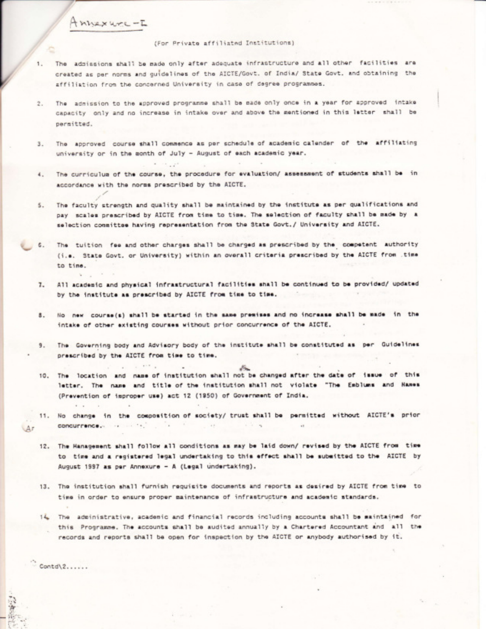$H$ nnexure - $L$ 

## (For Private affiliated Institutions)

- The admissions shall be made only after adequate infrastructure and all other facilities are 1. created as per norms and guidelines of the AICTE/Govt, of India/ State Govt, and obtaining the affiliation from the concerned University in case of degree programmos.
- The admission to the approved programme shall be made only once in a year for approved intake  $2.$ capacity only and no increase in intake over and above the mentioned in this letter shall be permitted.
- The approved course shall commence as per schedule of academic calender of the affiliating  $3.$ university or in the month of July - August of each academic year.
- The curriculum of the course, the procedure for evaluation/ assessment of students shall be in  $4.$ accordance with the norms prescribed by the AICTE.
- The faculty strength and quality shall be maintained by the institute as per qualifications and  $5.$ pay scales prescribed by AICTE from time to time. The selection of faculty shall be made by a selection conmittee having representation from the State Govt./ University and AICTE.
- The tuition fee and other charges shall be charged as prescribed by the competent authority  $6.$ (i.e. State Govt. or University) within an overall criteria prescribed by the AICTE from .time to time.
- All academic and physical infrastructural facilities shall be continued to be provided/ updated  $7.$ by the institute as prescribed by AICTE from time to time.
- No new course(s) shall be started in the same premises and no increase shall be made in the 8. intake of other existing courses without prior concurrence of the AICTE.
- The Governing body and Advisory body of the institute shall be constituted as per Guidelines 9. prescribed by the AICTE from time to time.

 $\mathcal{L} = \mathbb{R}^{n \times d} \times \mathbb{R}$ 

 $\sim$ 

- 10. The location and name of institution shall not be changed after the date of issue of this letter. The name and title of the institution shall not violate "The Emblums and Names (Prevention of improper use) act 12 (1950) of Government of India.
- 11. No change in the composition of society/ trust shall be permitted without AICTE's prior  $\frac{1}{2}$  $-18.5$ LAr
	- 12. The Hanagement shall follow all conditions as may be laid down/ revised by the AICTE from time to time and a registered legal undertaking to this effect shall be submitted to the AICTE by August 1997 as per Annexure - A (Legal undertaking).
	- 13. The institution shall furnish requisite documents and reports as desired by AICTE from time to time in order to ensure proper maintenance of infrastructure and academic standards.
	- i4. The administrative, academic and financial records including accounts shall be maintained for this Programme. The accounts shall be audited annually by a Chartered Accountant and all the records and reports shall be open for inspection by the AICTE or anybody authorised by it.

 $Contd(2, \ldots)$ 

 $\cdot$   $\cdot$ 

 $\sim$